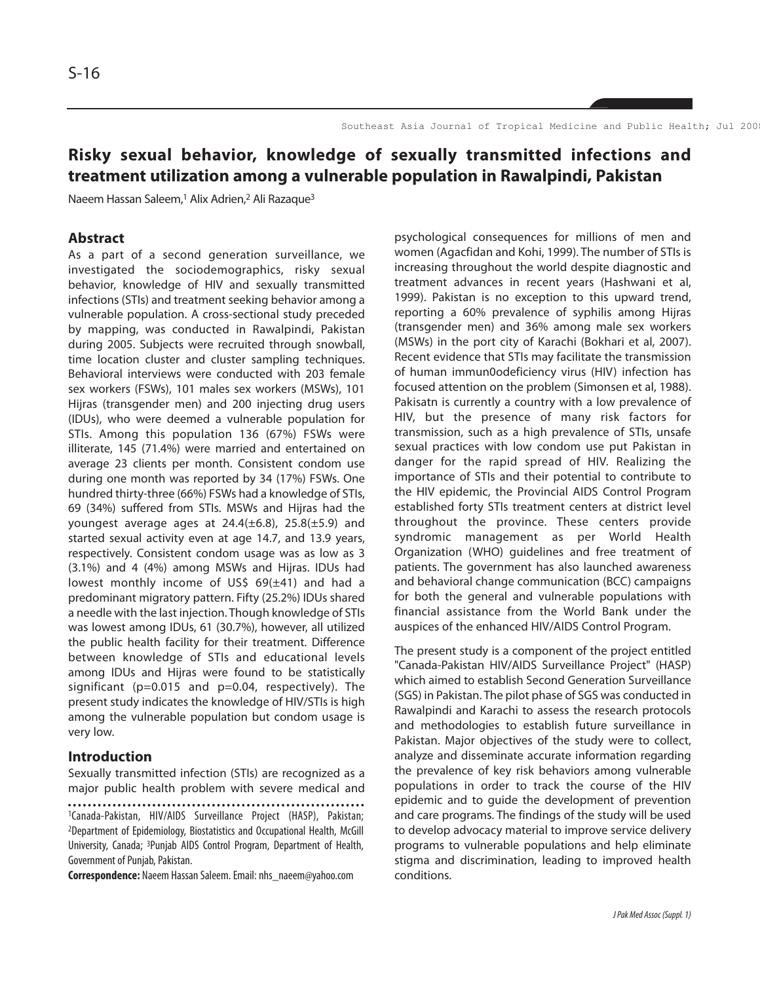# **Risky sexual behavior, knowledge of sexually transmitted infections and treatment utilization among a vulnerable population in Rawalpindi, Pakistan**

Naeem Hassan Saleem,<sup>1</sup> Alix Adrien,<sup>2</sup> Ali Razaque<sup>3</sup>

# **Abstract**

As a part of a second generation surveillance, we investigated the sociodemographics, risky sexual behavior, knowledge of HIV and sexually transmitted infections (STIs) and treatment seeking behavior among a vulnerable population. A cross-sectional study preceded by mapping, was conducted in Rawalpindi, Pakistan during 2005. Subjects were recruited through snowball, time location cluster and cluster sampling techniques. Behavioral interviews were conducted with 203 female sex workers (FSWs), 101 males sex workers (MSWs), 101 Hijras (transgender men) and 200 injecting drug users (IDUs), who were deemed a vulnerable population for STIs. Among this population 136 (67%) FSWs were illiterate, 145 (71.4%) were married and entertained on average 23 clients per month. Consistent condom use during one month was reported by 34 (17%) FSWs. One hundred thirty-three (66%) FSWs had a knowledge of STIs, 69 (34%) suffered from STIs. MSWs and Hijras had the youngest average ages at  $24.4(\pm 6.8)$ ,  $25.8(\pm 5.9)$  and started sexual activity even at age 14.7, and 13.9 years, respectively. Consistent condom usage was as low as 3 (3.1%) and 4 (4%) among MSWs and Hijras. IDUs had lowest monthly income of US\$  $69(\pm 41)$  and had a predominant migratory pattern. Fifty (25.2%) IDUs shared a needle with the last injection. Though knowledge of STIs was lowest among IDUs, 61 (30.7%), however, all utilized the public health facility for their treatment. Difference between knowledge of STIs and educational levels among IDUs and Hijras were found to be statistically significant (p=0.015 and p=0.04, respectively). The present study indicates the knowledge of HIV/STIs is high among the vulnerable population but condom usage is very low.

# **Introduction**

Sexually transmitted infection (STIs) are recognized as a major public health problem with severe medical and

**Correspondence:** Naeem Hassan Saleem. Email: nhs\_naeem@yahoo.com

psychological consequences for millions of men and women (Agacfidan and Kohi, 1999). The number of STIs is increasing throughout the world despite diagnostic and treatment advances in recent years (Hashwani et al, 1999). Pakistan is no exception to this upward trend, reporting a 60% prevalence of syphilis among Hijras (transgender men) and 36% among male sex workers (MSWs) in the port city of Karachi (Bokhari et al, 2007). Recent evidence that STIs may facilitate the transmission of human immun0odeficiency virus (HIV) infection has focused attention on the problem (Simonsen et al, 1988). Pakisatn is currently a country with a low prevalence of HIV, but the presence of many risk factors for transmission, such as a high prevalence of STIs, unsafe sexual practices with low condom use put Pakistan in danger for the rapid spread of HIV. Realizing the importance of STIs and their potential to contribute to the HIV epidemic, the Provincial AIDS Control Program established forty STIs treatment centers at district level throughout the province. These centers provide syndromic management as per World Health Organization (WHO) guidelines and free treatment of patients. The government has also launched awareness and behavioral change communication (BCC) campaigns for both the general and vulnerable populations with financial assistance from the World Bank under the auspices of the enhanced HIV/AIDS Control Program.

The present study is a component of the project entitled "Canada-Pakistan HIV/AIDS Surveillance Project" (HASP) which aimed to establish Second Generation Surveillance (SGS) in Pakistan. The pilot phase of SGS was conducted in Rawalpindi and Karachi to assess the research protocols and methodologies to establish future surveillance in Pakistan. Major objectives of the study were to collect, analyze and disseminate accurate information regarding the prevalence of key risk behaviors among vulnerable populations in order to track the course of the HIV epidemic and to guide the development of prevention and care programs. The findings of the study will be used to develop advocacy material to improve service delivery programs to vulnerable populations and help eliminate stigma and discrimination, leading to improved health conditions.

<sup>1</sup>Canada-Pakistan, HIV/AIDS Surveillance Project (HASP), Pakistan; 2Department of Epidemiology, Biostatistics and Occupational Health, McGill University, Canada; 3Punjab AIDS Control Program, Department of Health, Government of Punjab, Pakistan.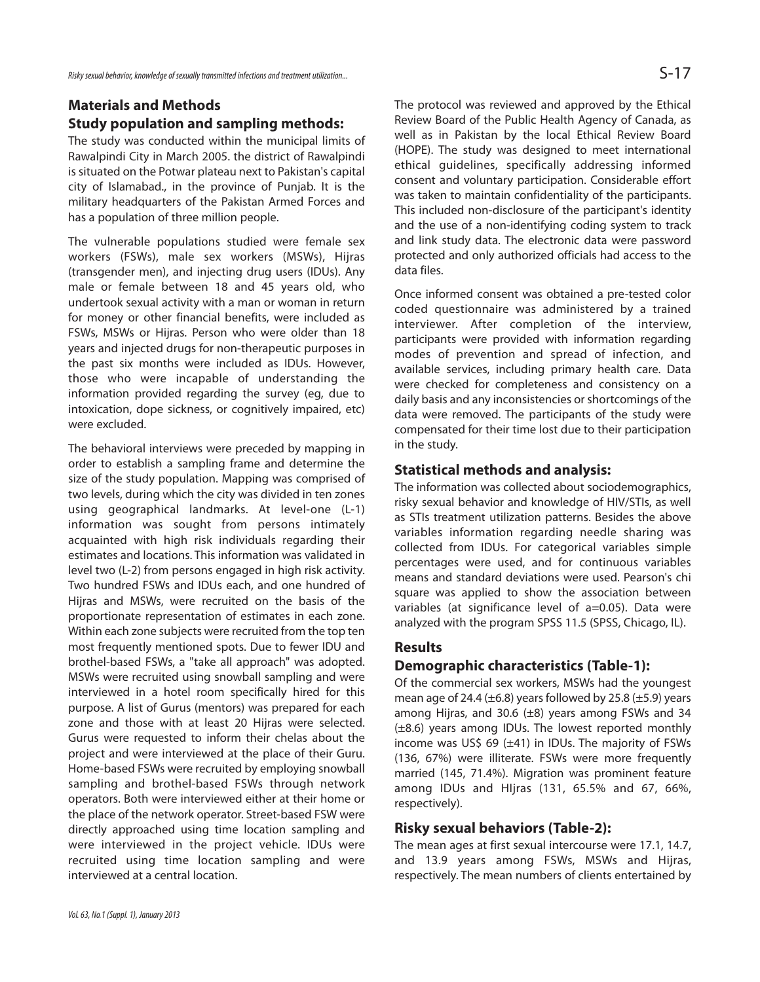# **Materials and Methods Study population and sampling methods:**

The study was conducted within the municipal limits of Rawalpindi City in March 2005. the district of Rawalpindi is situated on the Potwar plateau next to Pakistan's capital city of Islamabad., in the province of Punjab. It is the military headquarters of the Pakistan Armed Forces and has a population of three million people.

The vulnerable populations studied were female sex workers (FSWs), male sex workers (MSWs), Hijras (transgender men), and injecting drug users (IDUs). Any male or female between 18 and 45 years old, who undertook sexual activity with a man or woman in return for money or other financial benefits, were included as FSWs, MSWs or Hijras. Person who were older than 18 years and injected drugs for non-therapeutic purposes in the past six months were included as IDUs. However, those who were incapable of understanding the information provided regarding the survey (eg, due to intoxication, dope sickness, or cognitively impaired, etc) were excluded.

The behavioral interviews were preceded by mapping in order to establish a sampling frame and determine the size of the study population. Mapping was comprised of two levels, during which the city was divided in ten zones using geographical landmarks. At level-one (L-1) information was sought from persons intimately acquainted with high risk individuals regarding their estimates and locations. This information was validated in level two (L-2) from persons engaged in high risk activity. Two hundred FSWs and IDUs each, and one hundred of Hijras and MSWs, were recruited on the basis of the proportionate representation of estimates in each zone. Within each zone subjects were recruited from the top ten most frequently mentioned spots. Due to fewer IDU and brothel-based FSWs, a "take all approach" was adopted. MSWs were recruited using snowball sampling and were interviewed in a hotel room specifically hired for this purpose. A list of Gurus (mentors) was prepared for each zone and those with at least 20 Hijras were selected. Gurus were requested to inform their chelas about the project and were interviewed at the place of their Guru. Home-based FSWs were recruited by employing snowball sampling and brothel-based FSWs through network operators. Both were interviewed either at their home or the place of the network operator. Street-based FSW were directly approached using time location sampling and were interviewed in the project vehicle. IDUs were recruited using time location sampling and were interviewed at a central location.

The protocol was reviewed and approved by the Ethical Review Board of the Public Health Agency of Canada, as well as in Pakistan by the local Ethical Review Board (HOPE). The study was designed to meet international ethical guidelines, specifically addressing informed consent and voluntary participation. Considerable effort was taken to maintain confidentiality of the participants. This included non-disclosure of the participant's identity and the use of a non-identifying coding system to track and link study data. The electronic data were password protected and only authorized officials had access to the data files.

Once informed consent was obtained a pre-tested color coded questionnaire was administered by a trained interviewer. After completion of the interview, participants were provided with information regarding modes of prevention and spread of infection, and available services, including primary health care. Data were checked for completeness and consistency on a daily basis and any inconsistencies or shortcomings of the data were removed. The participants of the study were compensated for their time lost due to their participation in the study.

#### **Statistical methods and analysis:**

The information was collected about sociodemographics, risky sexual behavior and knowledge of HIV/STIs, as well as STIs treatment utilization patterns. Besides the above variables information regarding needle sharing was collected from IDUs. For categorical variables simple percentages were used, and for continuous variables means and standard deviations were used. Pearson's chi square was applied to show the association between variables (at significance level of a=0.05). Data were analyzed with the program SPSS 11.5 (SPSS, Chicago, IL).

#### **Results**

# **Demographic characteristics (Table-1):**

Of the commercial sex workers, MSWs had the youngest mean age of 24.4  $(\pm 6.8)$  years followed by 25.8  $(\pm 5.9)$  years among Hijras, and 30.6  $(\pm 8)$  years among FSWs and 34 (±8.6) years among IDUs. The lowest reported monthly income was US\$ 69  $(\pm 41)$  in IDUs. The majority of FSWs (136, 67%) were illiterate. FSWs were more frequently married (145, 71.4%). Migration was prominent feature among IDUs and HIjras (131, 65.5% and 67, 66%, respectively).

# **Risky sexual behaviors (Table-2):**

The mean ages at first sexual intercourse were 17.1, 14.7, and 13.9 years among FSWs, MSWs and Hijras, respectively. The mean numbers of clients entertained by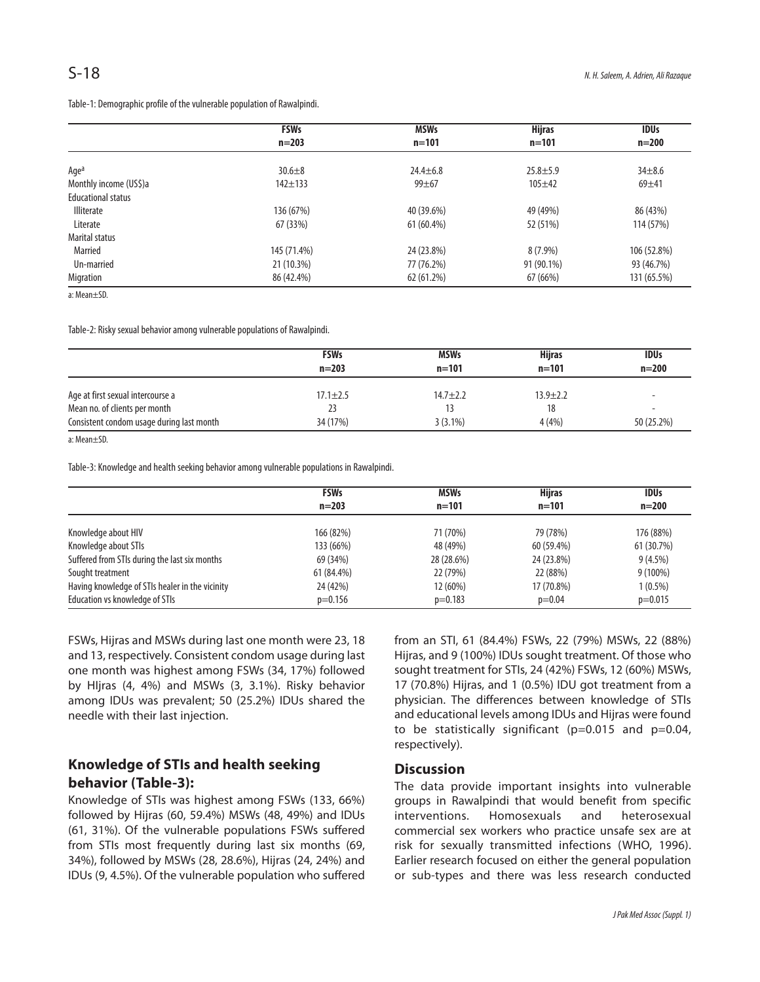|                           | <b>FSWs</b><br>$n = 203$ | <b>MSWs</b><br>$n = 101$ | <b>Hijras</b><br>$n = 101$ | <b>IDUs</b><br>$n = 200$ |
|---------------------------|--------------------------|--------------------------|----------------------------|--------------------------|
|                           |                          |                          |                            |                          |
|                           |                          |                          |                            |                          |
| Agea                      | $30.6 + 8$               | $24.4 + 6.8$             | $25.8 + 5.9$               | $34 + 8.6$               |
| Monthly income (US\$)a    | $142 + 133$              | $99 + 67$                | $105 + 42$                 | $69 + 41$                |
| <b>Educational status</b> |                          |                          |                            |                          |
| <b>Illiterate</b>         | 136 (67%)                | 40 (39.6%)               | 49 (49%)                   | 86 (43%)                 |
| Literate                  | 67 (33%)                 | 61 (60.4%)               | 52 (51%)                   | 114 (57%)                |
| Marital status            |                          |                          |                            |                          |
| Married                   | 145 (71.4%)              | 24 (23.8%)               | $8(7.9\%)$                 | 106 (52.8%)              |
| Un-married                | 21 (10.3%)               | 77 (76.2%)               | 91 (90.1%)                 | 93 (46.7%)               |
| Migration                 | 86 (42.4%)               | 62 (61.2%)               | 67 (66%)                   | 131 (65.5%)              |

a: Mean±SD.

Table-2: Risky sexual behavior among vulnerable populations of Rawalpindi.

|                                           | <b>FSWs</b><br>$n = 203$ | <b>MSWs</b><br>$n = 101$ | <b>Hijras</b><br>$n = 101$ | <b>IDUs</b><br>$n = 200$ |
|-------------------------------------------|--------------------------|--------------------------|----------------------------|--------------------------|
| Age at first sexual intercourse a         | $17.1 \pm 2.5$           | $14.7 + 2.2$             | $13.9 \pm 2.2$             |                          |
| Mean no. of clients per month             | 23                       |                          | 18                         |                          |
| Consistent condom usage during last month | 34 (17%)                 | $3(3.1\%)$               | 4(4%)                      | 50 (25.2%)               |

a: Mean±SD.

Table-3: Knowledge and health seeking behavior among vulnerable populations in Rawalpindi.

|                                                 | <b>FSWs</b><br>$n = 203$ | <b>MSWs</b><br>$n = 101$ | <b>Hijras</b><br>$n = 101$ | <b>IDUs</b><br>$n = 200$ |
|-------------------------------------------------|--------------------------|--------------------------|----------------------------|--------------------------|
|                                                 |                          |                          |                            |                          |
| Knowledge about HIV                             | 166 (82%)                | 71 (70%)                 | 79 (78%)                   | 176 (88%)                |
| Knowledge about STIs                            | 133 (66%)                | 48 (49%)                 | 60 (59.4%)                 | 61 (30.7%)               |
| Suffered from STIs during the last six months   | 69 (34%)                 | 28 (28.6%)               | 24 (23.8%)                 | $9(4.5\%)$               |
| Sought treatment                                | 61 (84.4%)               | 22 (79%)                 | 22 (88%)                   | $9(100\%)$               |
| Having knowledge of STIs healer in the vicinity | 24 (42%)                 | 12 (60%)                 | 17 (70.8%)                 | $1(0.5\%)$               |
| Education vs knowledge of STIs                  | $p=0.156$                | $p=0.183$                | $p=0.04$                   | $p=0.015$                |

FSWs, Hijras and MSWs during last one month were 23, 18 and 13, respectively. Consistent condom usage during last one month was highest among FSWs (34, 17%) followed by HIjras (4, 4%) and MSWs (3, 3.1%). Risky behavior among IDUs was prevalent; 50 (25.2%) IDUs shared the needle with their last injection.

# **Knowledge of STIs and health seeking behavior (Table-3):**

Knowledge of STIs was highest among FSWs (133, 66%) followed by Hijras (60, 59.4%) MSWs (48, 49%) and IDUs (61, 31%). Of the vulnerable populations FSWs suffered from STIs most frequently during last six months (69, 34%), followed by MSWs (28, 28.6%), Hijras (24, 24%) and IDUs (9, 4.5%). Of the vulnerable population who suffered

from an STI, 61 (84.4%) FSWs, 22 (79%) MSWs, 22 (88%) Hijras, and 9 (100%) IDUs sought treatment. Of those who sought treatment for STIs, 24 (42%) FSWs, 12 (60%) MSWs, 17 (70.8%) Hijras, and 1 (0.5%) IDU got treatment from a physician. The differences between knowledge of STIs and educational levels among IDUs and Hijras were found to be statistically significant (p=0.015 and p=0.04, respectively).

#### **Discussion**

The data provide important insights into vulnerable groups in Rawalpindi that would benefit from specific interventions. Homosexuals and heterosexual commercial sex workers who practice unsafe sex are at risk for sexually transmitted infections (WHO, 1996). Earlier research focused on either the general population or sub-types and there was less research conducted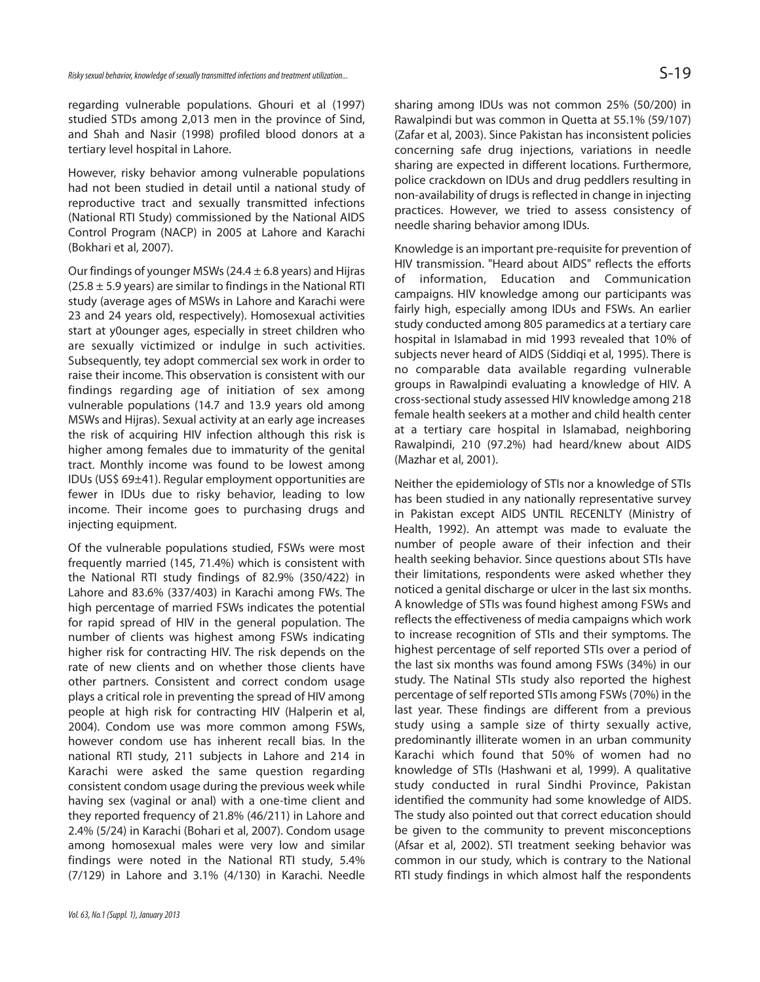regarding vulnerable populations. Ghouri et al (1997) studied STDs among 2,013 men in the province of Sind, and Shah and Nasir (1998) profiled blood donors at a tertiary level hospital in Lahore.

However, risky behavior among vulnerable populations had not been studied in detail until a national study of reproductive tract and sexually transmitted infections (National RTI Study) commissioned by the National AIDS Control Program (NACP) in 2005 at Lahore and Karachi (Bokhari et al, 2007).

Our findings of younger MSWs (24.4  $\pm$  6.8 years) and Hijras  $(25.8 \pm 5.9 \text{ years})$  are similar to findings in the National RTI study (average ages of MSWs in Lahore and Karachi were 23 and 24 years old, respectively). Homosexual activities start at y0ounger ages, especially in street children who are sexually victimized or indulge in such activities. Subsequently, tey adopt commercial sex work in order to raise their income. This observation is consistent with our findings regarding age of initiation of sex among vulnerable populations (14.7 and 13.9 years old among MSWs and Hijras). Sexual activity at an early age increases the risk of acquiring HIV infection although this risk is higher among females due to immaturity of the genital tract. Monthly income was found to be lowest among IDUs (US\$ 69±41). Regular employment opportunities are fewer in IDUs due to risky behavior, leading to low income. Their income goes to purchasing drugs and injecting equipment.

Of the vulnerable populations studied, FSWs were most frequently married (145, 71.4%) which is consistent with the National RTI study findings of 82.9% (350/422) in Lahore and 83.6% (337/403) in Karachi among FWs. The high percentage of married FSWs indicates the potential for rapid spread of HIV in the general population. The number of clients was highest among FSWs indicating higher risk for contracting HIV. The risk depends on the rate of new clients and on whether those clients have other partners. Consistent and correct condom usage plays a critical role in preventing the spread of HIV among people at high risk for contracting HIV (Halperin et al, 2004). Condom use was more common among FSWs, however condom use has inherent recall bias. In the national RTI study, 211 subjects in Lahore and 214 in Karachi were asked the same question regarding consistent condom usage during the previous week while having sex (vaginal or anal) with a one-time client and they reported frequency of 21.8% (46/211) in Lahore and 2.4% (5/24) in Karachi (Bohari et al, 2007). Condom usage among homosexual males were very low and similar findings were noted in the National RTI study, 5.4% (7/129) in Lahore and 3.1% (4/130) in Karachi. Needle

sharing among IDUs was not common 25% (50/200) in Rawalpindi but was common in Quetta at 55.1% (59/107) (Zafar et al, 2003). Since Pakistan has inconsistent policies concerning safe drug injections, variations in needle sharing are expected in different locations. Furthermore, police crackdown on IDUs and drug peddlers resulting in non-availability of drugs is reflected in change in injecting practices. However, we tried to assess consistency of needle sharing behavior among IDUs.

Knowledge is an important pre-requisite for prevention of HIV transmission. "Heard about AIDS" reflects the efforts of information, Education and Communication campaigns. HIV knowledge among our participants was fairly high, especially among IDUs and FSWs. An earlier study conducted among 805 paramedics at a tertiary care hospital in Islamabad in mid 1993 revealed that 10% of subjects never heard of AIDS (Siddiqi et al, 1995). There is no comparable data available regarding vulnerable groups in Rawalpindi evaluating a knowledge of HIV. A cross-sectional study assessed HIV knowledge among 218 female health seekers at a mother and child health center at a tertiary care hospital in Islamabad, neighboring Rawalpindi, 210 (97.2%) had heard/knew about AIDS (Mazhar et al, 2001).

Neither the epidemiology of STIs nor a knowledge of STIs has been studied in any nationally representative survey in Pakistan except AIDS UNTIL RECENLTY (Ministry of Health, 1992). An attempt was made to evaluate the number of people aware of their infection and their health seeking behavior. Since questions about STIs have their limitations, respondents were asked whether they noticed a genital discharge or ulcer in the last six months. A knowledge of STIs was found highest among FSWs and reflects the effectiveness of media campaigns which work to increase recognition of STIs and their symptoms. The highest percentage of self reported STIs over a period of the last six months was found among FSWs (34%) in our study. The Natinal STIs study also reported the highest percentage of self reported STIs among FSWs (70%) in the last year. These findings are different from a previous study using a sample size of thirty sexually active, predominantly illiterate women in an urban community Karachi which found that 50% of women had no knowledge of STIs (Hashwani et al, 1999). A qualitative study conducted in rural Sindhi Province, Pakistan identified the community had some knowledge of AIDS. The study also pointed out that correct education should be given to the community to prevent misconceptions (Afsar et al, 2002). STI treatment seeking behavior was common in our study, which is contrary to the National RTI study findings in which almost half the respondents